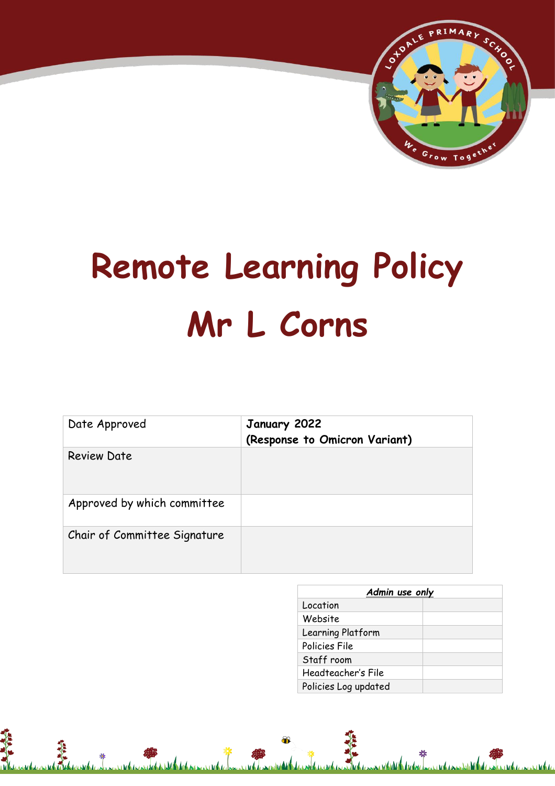

# **Remote Learning Policy Mr L Corns**

| Date Approved                | January 2022<br>(Response to Omicron Variant) |
|------------------------------|-----------------------------------------------|
| <b>Review Date</b>           |                                               |
| Approved by which committee  |                                               |
| Chair of Committee Signature |                                               |

精神

| Admin use only       |  |
|----------------------|--|
| Location             |  |
| Website              |  |
| Learning Platform    |  |
| Policies File        |  |
| Staff room           |  |
| Headteacher's File   |  |
| Policies Log updated |  |

**ALAN**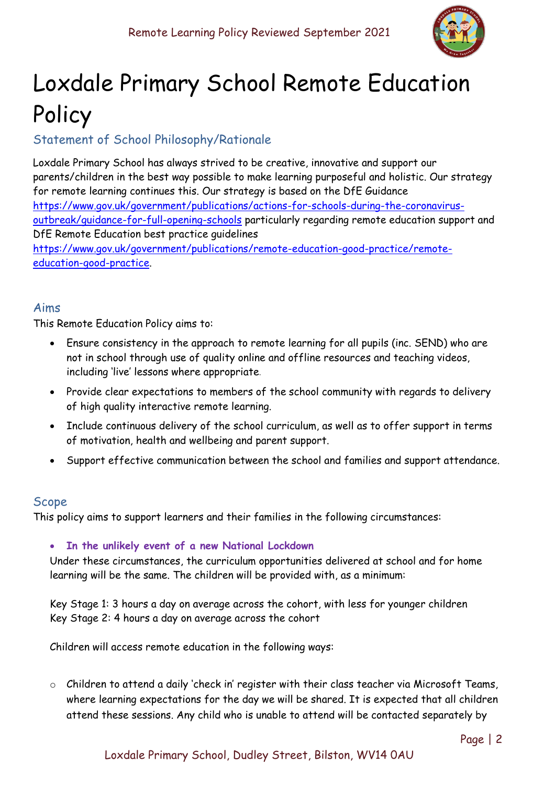

# Loxdale Primary School Remote Education Policy

# Statement of School Philosophy/Rationale

Loxdale Primary School has always strived to be creative, innovative and support our parents/children in the best way possible to make learning purposeful and holistic. Our strategy for remote learning continues this. Our strategy is based on the DfE Guidance [https://www.gov.uk/government/publications/actions-for-schools-during-the-coronavirus](https://www.gov.uk/government/publications/actions-for-schools-during-the-coronavirus-outbreak/guidance-for-full-opening-schools)[outbreak/guidance-for-full-opening-schools](https://www.gov.uk/government/publications/actions-for-schools-during-the-coronavirus-outbreak/guidance-for-full-opening-schools) particularly regarding remote education support and DfE Remote Education best practice guidelines [https://www.gov.uk/government/publications/remote-education-good-practice/remote](https://www.gov.uk/government/publications/remote-education-good-practice/remote-education-good-practice)[education-good-practice.](https://www.gov.uk/government/publications/remote-education-good-practice/remote-education-good-practice)

#### Aims

This Remote Education Policy aims to:

- Ensure consistency in the approach to remote learning for all pupils (inc. SEND) who are not in school through use of quality online and offline resources and teaching videos, including 'live' lessons where appropriate.
- Provide clear expectations to members of the school community with regards to delivery of high quality interactive remote learning.
- Include continuous delivery of the school curriculum, as well as to offer support in terms of motivation, health and wellbeing and parent support.
- Support effective communication between the school and families and support attendance.

# Scope

This policy aims to support learners and their families in the following circumstances:

• **In the unlikely event of a new National Lockdown**

Under these circumstances, the curriculum opportunities delivered at school and for home learning will be the same. The children will be provided with, as a minimum:

Key Stage 1: 3 hours a day on average across the cohort, with less for younger children Key Stage 2: 4 hours a day on average across the cohort

Children will access remote education in the following ways:

o Children to attend a daily 'check in' register with their class teacher via Microsoft Teams, where learning expectations for the day we will be shared. It is expected that all children attend these sessions. Any child who is unable to attend will be contacted separately by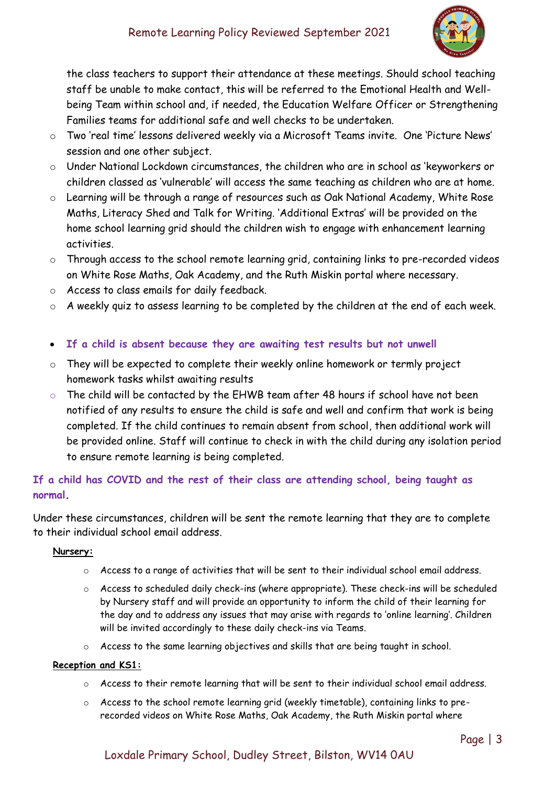

the class teachers to support their attendance at these meetings. Should school teaching staff be unable to make contact, this will be referred to the Emotional Health and Wellbeing Team within school and, if needed, the Education Welfare Officer or Strengthening Families teams for additional safe and well checks to be undertaken.

- o Two 'real time' lessons delivered weekly via a Microsoft Teams invite. One 'Picture News' session and one other subject.
- o Under National Lockdown circumstances, the children who are in school as 'keyworkers or children classed as 'vulnerable' will access the same teaching as children who are at home.
- o Learning will be through a range of resources such as Oak National Academy, White Rose Maths, Literacy Shed and Talk for Writing. 'Additional Extras' will be provided on the home school learning grid should the children wish to engage with enhancement learning activities.
- o Through access to the school remote learning grid, containing links to pre-recorded videos on White Rose Maths, Oak Academy, and the Ruth Miskin portal where necessary.
- o Access to class emails for daily feedback.
- o A weekly quiz to assess learning to be completed by the children at the end of each week.
- **If a child is absent because they are awaiting test results but not unwell**
- $\circ$  They will be expected to complete their weekly online homework or termly project homework tasks whilst awaiting results
- o The child will be contacted by the EHWB team after 48 hours if school have not been notified of any results to ensure the child is safe and well and confirm that work is being completed. If the child continues to remain absent from school, then additional work will be provided online. Staff will continue to check in with the child during any isolation period to ensure remote learning is being completed.

**If a child has COVID and the rest of their class are attending school, being taught as normal.** 

Under these circumstances, children will be sent the remote learning that they are to complete to their individual school email address.

#### **Nursery:**

- $\circ$  Access to a range of activities that will be sent to their individual school email address.
- $\circ$  Access to scheduled daily check-ins (where appropriate). These check-ins will be scheduled by Nursery staff and will provide an opportunity to inform the child of their learning for the day and to address any issues that may arise with regards to 'online learning'. Children will be invited accordingly to these daily check-ins via Teams.
- o Access to the same learning objectives and skills that are being taught in school.

#### **Reception and KS1:**

- $\circ$  Access to their remote learning that will be sent to their individual school email address.
- o Access to the school remote learning grid (weekly timetable), containing links to prerecorded videos on White Rose Maths, Oak Academy, the Ruth Miskin portal where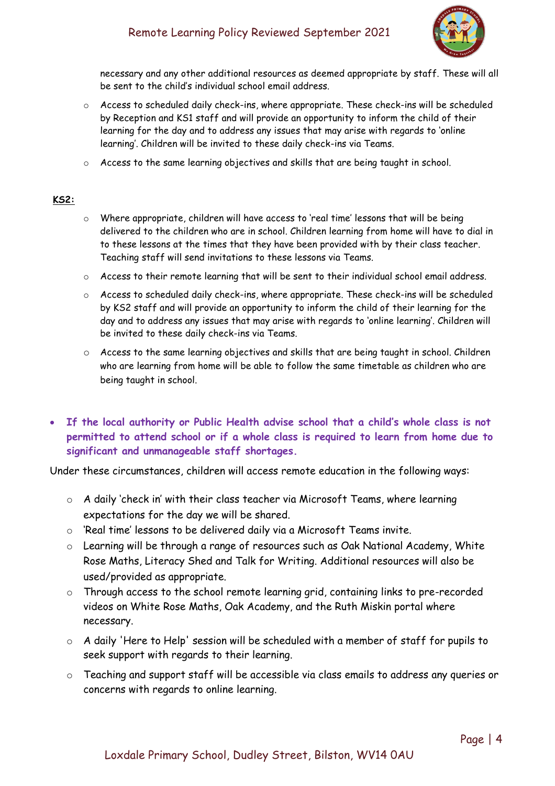# Remote Learning Policy Reviewed September 2021



necessary and any other additional resources as deemed appropriate by staff. These will all be sent to the child's individual school email address.

- $\circ$  Access to scheduled daily check-ins, where appropriate. These check-ins will be scheduled by Reception and KS1 staff and will provide an opportunity to inform the child of their learning for the day and to address any issues that may arise with regards to 'online learning'. Children will be invited to these daily check-ins via Teams.
- o Access to the same learning objectives and skills that are being taught in school.

#### **KS2:**

- o Where appropriate, children will have access to 'real time' lessons that will be being delivered to the children who are in school. Children learning from home will have to dial in to these lessons at the times that they have been provided with by their class teacher. Teaching staff will send invitations to these lessons via Teams.
- $\circ$  Access to their remote learning that will be sent to their individual school email address.
- o Access to scheduled daily check-ins, where appropriate. These check-ins will be scheduled by KS2 staff and will provide an opportunity to inform the child of their learning for the day and to address any issues that may arise with regards to 'online learning'. Children will be invited to these daily check-ins via Teams.
- o Access to the same learning objectives and skills that are being taught in school. Children who are learning from home will be able to follow the same timetable as children who are being taught in school.
- **If the local authority or Public Health advise school that a child's whole class is not permitted to attend school or if a whole class is required to learn from home due to significant and unmanageable staff shortages.**

Under these circumstances, children will access remote education in the following ways:

- o A daily 'check in' with their class teacher via Microsoft Teams, where learning expectations for the day we will be shared.
- o 'Real time' lessons to be delivered daily via a Microsoft Teams invite.
- o Learning will be through a range of resources such as Oak National Academy, White Rose Maths, Literacy Shed and Talk for Writing. Additional resources will also be used/provided as appropriate.
- o Through access to the school remote learning grid, containing links to pre-recorded videos on White Rose Maths, Oak Academy, and the Ruth Miskin portal where necessary.
- o A daily 'Here to Help' session will be scheduled with a member of staff for pupils to seek support with regards to their learning.
- o Teaching and support staff will be accessible via class emails to address any queries or concerns with regards to online learning.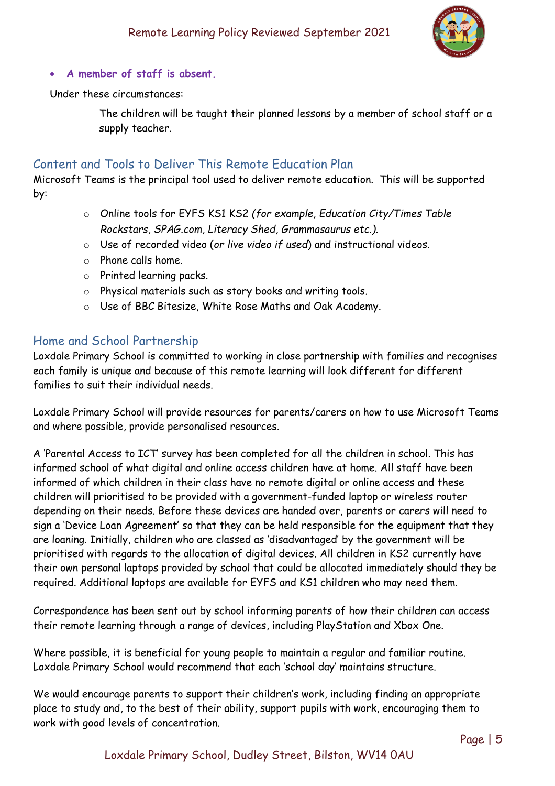

• **A member of staff is absent.** 

Under these circumstances:

The children will be taught their planned lessons by a member of school staff or a supply teacher.

# Content and Tools to Deliver This Remote Education Plan

Microsoft Teams is the principal tool used to deliver remote education. This will be supported by:

- o Online tools for EYFS KS1 KS2 *(for example, Education City/Times Table Rockstars, SPAG.com, Literacy Shed, Grammasaurus etc.).*
- o Use of recorded video (*or live video if used*) and instructional videos.
- o Phone calls home.
- o Printed learning packs.
- o Physical materials such as story books and writing tools.
- o Use of BBC Bitesize, White Rose Maths and Oak Academy.

### Home and School Partnership

Loxdale Primary School is committed to working in close partnership with families and recognises each family is unique and because of this remote learning will look different for different families to suit their individual needs.

Loxdale Primary School will provide resources for parents/carers on how to use Microsoft Teams and where possible, provide personalised resources.

A 'Parental Access to ICT' survey has been completed for all the children in school. This has informed school of what digital and online access children have at home. All staff have been informed of which children in their class have no remote digital or online access and these children will prioritised to be provided with a government-funded laptop or wireless router depending on their needs. Before these devices are handed over, parents or carers will need to sign a 'Device Loan Agreement' so that they can be held responsible for the equipment that they are loaning. Initially, children who are classed as 'disadvantaged' by the government will be prioritised with regards to the allocation of digital devices. All children in KS2 currently have their own personal laptops provided by school that could be allocated immediately should they be required. Additional laptops are available for EYFS and KS1 children who may need them.

Correspondence has been sent out by school informing parents of how their children can access their remote learning through a range of devices, including PlayStation and Xbox One.

Where possible, it is beneficial for young people to maintain a regular and familiar routine. Loxdale Primary School would recommend that each 'school day' maintains structure.

We would encourage parents to support their children's work, including finding an appropriate place to study and, to the best of their ability, support pupils with work, encouraging them to work with good levels of concentration.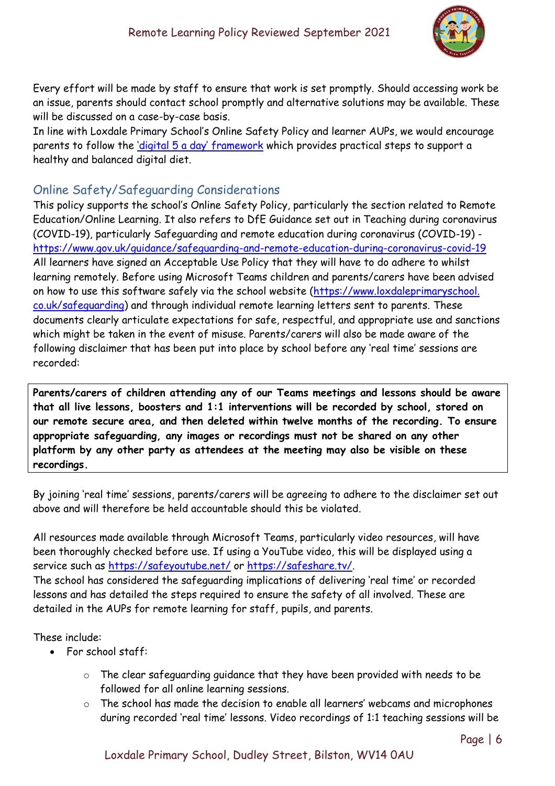

Every effort will be made by staff to ensure that work is set promptly. Should accessing work be an issue, parents should contact school promptly and alternative solutions may be available. These will be discussed on a case-by-case basis.

In line with Loxdale Primary School's Online Safety Policy and learner AUPs, we would encourage parents to follow the *digital* 5 a day' framework which provides practical steps to support a healthy and balanced digital diet.

# Online Safety/Safeguarding Considerations

This policy supports the school's Online Safety Policy, particularly the section related to Remote Education/Online Learning. It also refers to DfE Guidance set out in Teaching during coronavirus (COVID-19), particularly Safeguarding and remote education during coronavirus (COVID-19) <https://www.gov.uk/guidance/safeguarding-and-remote-education-during-coronavirus-covid-19> All learners have signed an Acceptable Use Policy that they will have to do adhere to whilst learning remotely. Before using Microsoft Teams children and parents/carers have been advised on how to use this software safely via the school website (https://www.loxdaleprimaryschool. co.uk/safeguarding) and through individual remote learning letters sent to parents. These documents clearly articulate expectations for safe, respectful, and appropriate use and sanctions which might be taken in the event of misuse. Parents/carers will also be made aware of the following disclaimer that has been put into place by school before any 'real time' sessions are recorded:

**Parents/carers of children attending any of our Teams meetings and lessons should be aware that all live lessons, boosters and 1:1 interventions will be recorded by school, stored on our remote secure area, and then deleted within twelve months of the recording. To ensure appropriate safeguarding, any images or recordings must not be shared on any other platform by any other party as attendees at the meeting may also be visible on these recordings.**

By joining 'real time' sessions, parents/carers will be agreeing to adhere to the disclaimer set out above and will therefore be held accountable should this be violated.

All resources made available through Microsoft Teams, particularly video resources, will have been thoroughly checked before use. If using a YouTube video, this will be displayed using a service such as<https://safeyoutube.net/> or [https://safeshare.tv/.](https://safeshare.tv/) The school has considered the safeguarding implications of delivering 'real time' or recorded lessons and has detailed the steps required to ensure the safety of all involved. These are detailed in the AUPs for remote learning for staff, pupils, and parents.

#### These include:

- For school staff:
	- o The clear safeguarding guidance that they have been provided with needs to be followed for all online learning sessions.
	- o The school has made the decision to enable all learners' webcams and microphones during recorded 'real time' lessons. Video recordings of 1:1 teaching sessions will be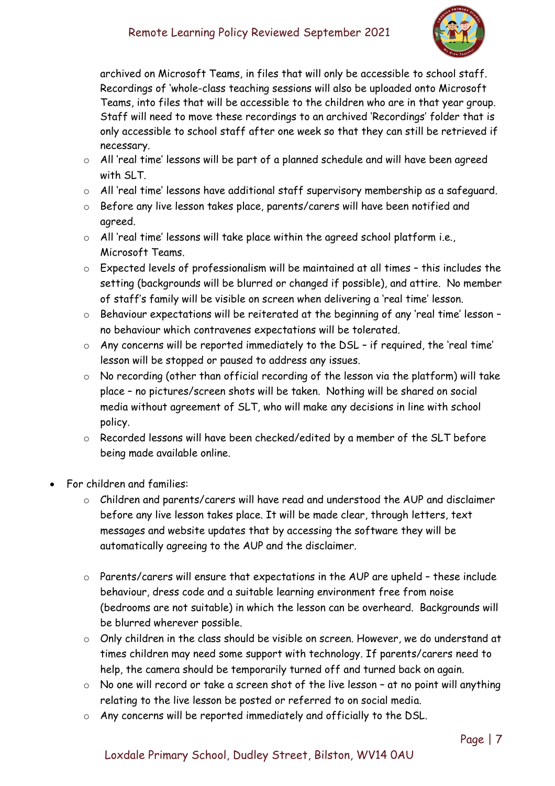# Remote Learning Policy Reviewed September 2021



archived on Microsoft Teams, in files that will only be accessible to school staff. Recordings of 'whole-class teaching sessions will also be uploaded onto Microsoft Teams, into files that will be accessible to the children who are in that year group. Staff will need to move these recordings to an archived 'Recordings' folder that is only accessible to school staff after one week so that they can still be retrieved if necessary.

- o All 'real time' lessons will be part of a planned schedule and will have been agreed with SLT.
- o All 'real time' lessons have additional staff supervisory membership as a safeguard.
- o Before any live lesson takes place, parents/carers will have been notified and agreed.
- o All 'real time' lessons will take place within the agreed school platform i.e., Microsoft Teams.
- o Expected levels of professionalism will be maintained at all times this includes the setting (backgrounds will be blurred or changed if possible), and attire. No member of staff's family will be visible on screen when delivering a 'real time' lesson.
- o Behaviour expectations will be reiterated at the beginning of any 'real time' lesson no behaviour which contravenes expectations will be tolerated.
- o Any concerns will be reported immediately to the DSL if required, the 'real time' lesson will be stopped or paused to address any issues.
- o No recording (other than official recording of the lesson via the platform) will take place – no pictures/screen shots will be taken. Nothing will be shared on social media without agreement of SLT, who will make any decisions in line with school policy.
- o Recorded lessons will have been checked/edited by a member of the SLT before being made available online.
- For children and families:
	- o Children and parents/carers will have read and understood the AUP and disclaimer before any live lesson takes place. It will be made clear, through letters, text messages and website updates that by accessing the software they will be automatically agreeing to the AUP and the disclaimer.
	- o Parents/carers will ensure that expectations in the AUP are upheld these include behaviour, dress code and a suitable learning environment free from noise (bedrooms are not suitable) in which the lesson can be overheard. Backgrounds will be blurred wherever possible.
	- o Only children in the class should be visible on screen. However, we do understand at times children may need some support with technology. If parents/carers need to help, the camera should be temporarily turned off and turned back on again.
	- $\circ$  No one will record or take a screen shot of the live lesson at no point will anything relating to the live lesson be posted or referred to on social media.
	- o Any concerns will be reported immediately and officially to the DSL.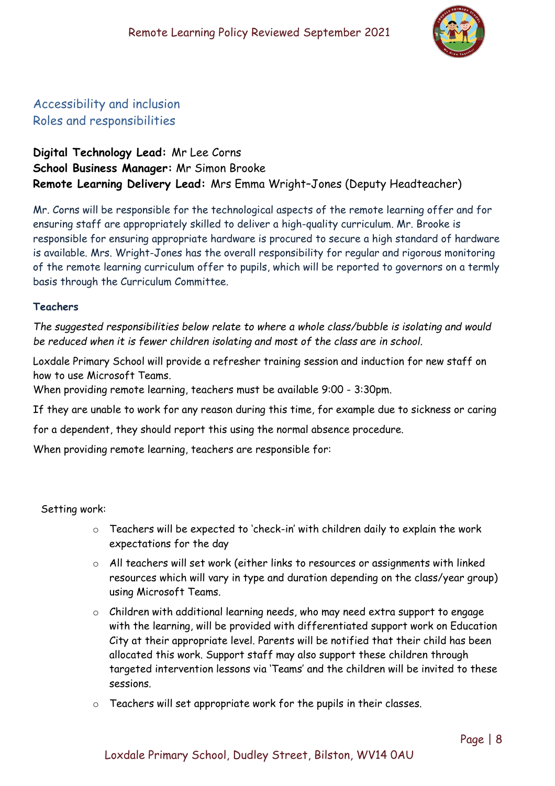

# Accessibility and inclusion Roles and responsibilities

# **Digital Technology Lead:** Mr Lee Corns **School Business Manager:** Mr Simon Brooke **Remote Learning Delivery Lead:** Mrs Emma Wright–Jones (Deputy Headteacher)

Mr. Corns will be responsible for the technological aspects of the remote learning offer and for ensuring staff are appropriately skilled to deliver a high-quality curriculum. Mr. Brooke is responsible for ensuring appropriate hardware is procured to secure a high standard of hardware is available. Mrs. Wright-Jones has the overall responsibility for regular and rigorous monitoring of the remote learning curriculum offer to pupils, which will be reported to governors on a termly basis through the Curriculum Committee.

#### **Teachers**

*The suggested responsibilities below relate to where a whole class/bubble is isolating and would be reduced when it is fewer children isolating and most of the class are in school.*

Loxdale Primary School will provide a refresher training session and induction for new staff on how to use Microsoft Teams.

When providing remote learning, teachers must be available 9:00 - 3:30pm.

If they are unable to work for any reason during this time, for example due to sickness or caring

for a dependent, they should report this using the normal absence procedure.

When providing remote learning, teachers are responsible for:

Setting work:

- o Teachers will be expected to 'check-in' with children daily to explain the work expectations for the day
- o All teachers will set work (either links to resources or assignments with linked resources which will vary in type and duration depending on the class/year group) using Microsoft Teams.
- o Children with additional learning needs, who may need extra support to engage with the learning, will be provided with differentiated support work on Education City at their appropriate level. Parents will be notified that their child has been allocated this work. Support staff may also support these children through targeted intervention lessons via 'Teams' and the children will be invited to these sessions.
- o Teachers will set appropriate work for the pupils in their classes.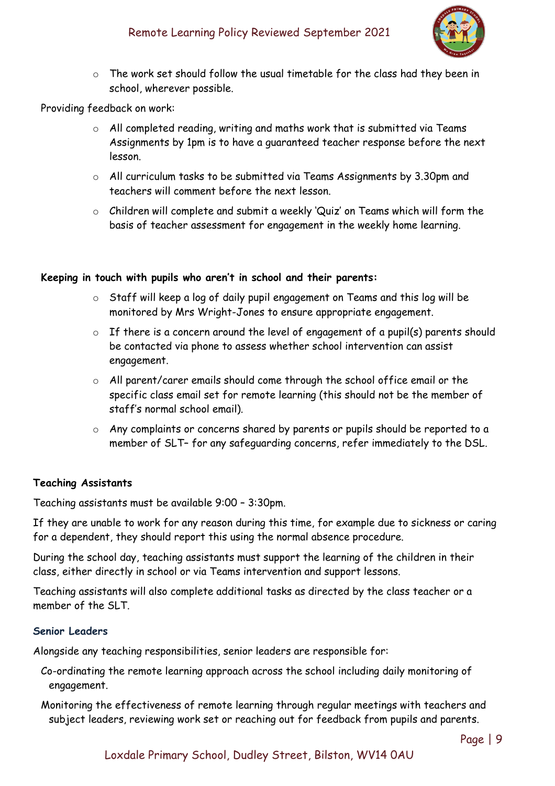

o The work set should follow the usual timetable for the class had they been in school, wherever possible.

#### Providing feedback on work:

- o All completed reading, writing and maths work that is submitted via Teams Assignments by 1pm is to have a guaranteed teacher response before the next lesson.
- o All curriculum tasks to be submitted via Teams Assignments by 3.30pm and teachers will comment before the next lesson.
- o Children will complete and submit a weekly 'Quiz' on Teams which will form the basis of teacher assessment for engagement in the weekly home learning.

#### **Keeping in touch with pupils who aren't in school and their parents:**

- o Staff will keep a log of daily pupil engagement on Teams and this log will be monitored by Mrs Wright-Jones to ensure appropriate engagement.
- $\circ$  If there is a concern around the level of engagement of a pupil(s) parents should be contacted via phone to assess whether school intervention can assist engagement.
- o All parent/carer emails should come through the school office email or the specific class email set for remote learning (this should not be the member of staff's normal school email).
- o Any complaints or concerns shared by parents or pupils should be reported to a member of SLT– for any safeguarding concerns, refer immediately to the DSL.

#### **Teaching Assistants**

Teaching assistants must be available 9:00 – 3:30pm.

If they are unable to work for any reason during this time, for example due to sickness or caring for a dependent, they should report this using the normal absence procedure.

During the school day, teaching assistants must support the learning of the children in their class, either directly in school or via Teams intervention and support lessons.

Teaching assistants will also complete additional tasks as directed by the class teacher or a member of the SLT.

#### **Senior Leaders**

Alongside any teaching responsibilities, senior leaders are responsible for:

- Co-ordinating the remote learning approach across the school including daily monitoring of engagement.
- Monitoring the effectiveness of remote learning through regular meetings with teachers and subject leaders, reviewing work set or reaching out for feedback from pupils and parents.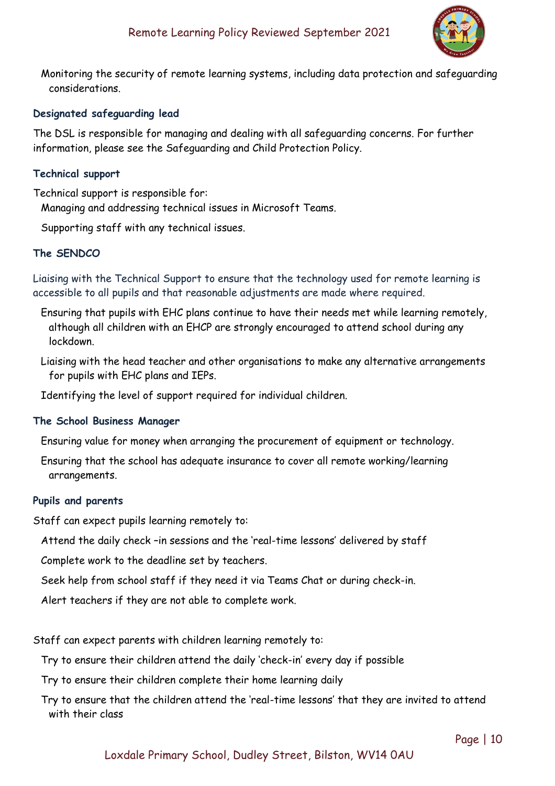

Monitoring the security of remote learning systems, including data protection and safeguarding considerations.

#### **Designated safeguarding lead**

The DSL is responsible for managing and dealing with all safeguarding concerns. For further information, please see the Safeguarding and Child Protection Policy.

#### **Technical support**

Technical support is responsible for: Managing and addressing technical issues in Microsoft Teams.

Supporting staff with any technical issues.

#### **The SENDCO**

Liaising with the Technical Support to ensure that the technology used for remote learning is accessible to all pupils and that reasonable adjustments are made where required.

- Ensuring that pupils with EHC plans continue to have their needs met while learning remotely, although all children with an EHCP are strongly encouraged to attend school during any lockdown.
- Liaising with the head teacher and other organisations to make any alternative arrangements for pupils with EHC plans and IEPs.

Identifying the level of support required for individual children.

#### **The School Business Manager**

Ensuring value for money when arranging the procurement of equipment or technology.

Ensuring that the school has adequate insurance to cover all remote working/learning arrangements.

#### **Pupils and parents**

Staff can expect pupils learning remotely to:

Attend the daily check –in sessions and the 'real-time lessons' delivered by staff

Complete work to the deadline set by teachers.

Seek help from school staff if they need it via Teams Chat or during check-in.

Alert teachers if they are not able to complete work.

Staff can expect parents with children learning remotely to:

Try to ensure their children attend the daily 'check-in' every day if possible

Try to ensure their children complete their home learning daily

Try to ensure that the children attend the 'real-time lessons' that they are invited to attend with their class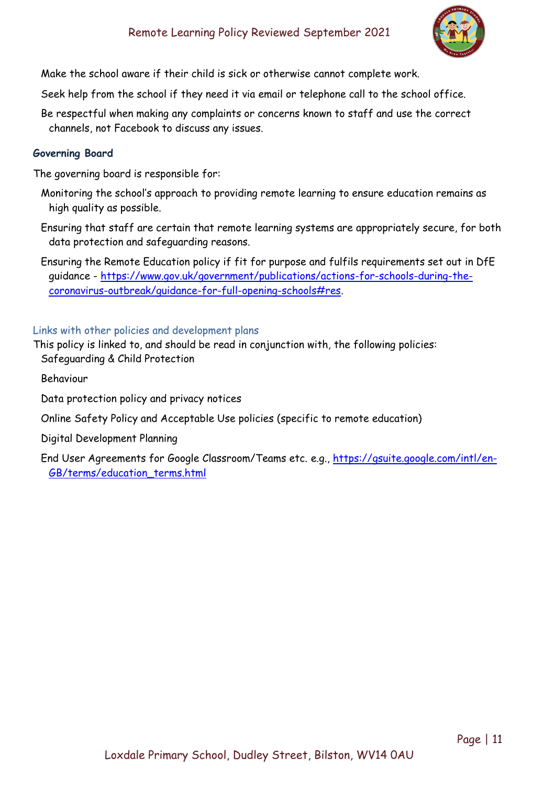

Make the school aware if their child is sick or otherwise cannot complete work.

Seek help from the school if they need it via email or telephone call to the school office.

Be respectful when making any complaints or concerns known to staff and use the correct channels, not Facebook to discuss any issues.

#### **Governing Board**

The governing board is responsible for:

- Monitoring the school's approach to providing remote learning to ensure education remains as high quality as possible.
- Ensuring that staff are certain that remote learning systems are appropriately secure, for both data protection and safeguarding reasons.

Ensuring the Remote Education policy if fit for purpose and fulfils requirements set out in DfE guidance - [https://www.gov.uk/government/publications/actions-for-schools-during-the](https://www.gov.uk/government/publications/actions-for-schools-during-the-coronavirus-outbreak/guidance-for-full-opening-schools#res)[coronavirus-outbreak/guidance-for-full-opening-schools#res.](https://www.gov.uk/government/publications/actions-for-schools-during-the-coronavirus-outbreak/guidance-for-full-opening-schools#res)

#### Links with other policies and development plans

- This policy is linked to, and should be read in conjunction with, the following policies: Safeguarding & Child Protection
	- Behaviour
	- Data protection policy and privacy notices

Online Safety Policy and Acceptable Use policies (specific to remote education)

Digital Development Planning

End User Agreements for Google Classroom/Teams etc. e.g., [https://gsuite.google.com/intl/en-](https://gsuite.google.com/intl/en-GB/terms/education_terms.html)[GB/terms/education\\_terms.html](https://gsuite.google.com/intl/en-GB/terms/education_terms.html)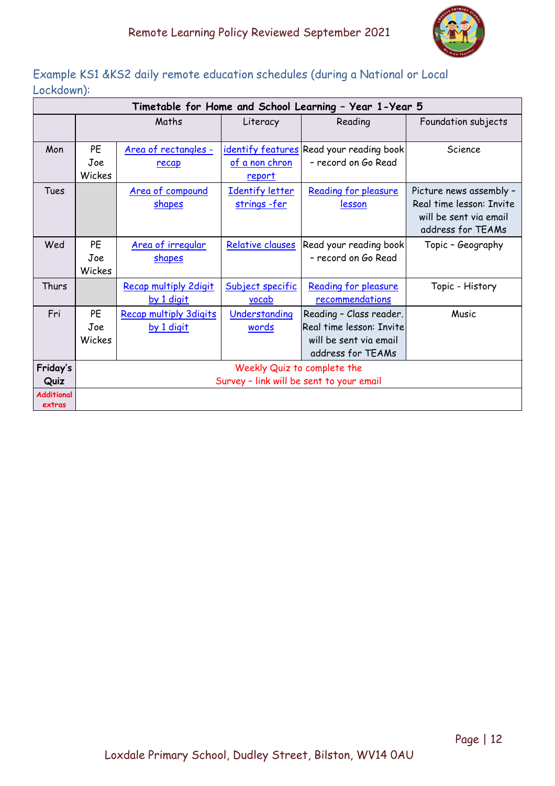|                   | Timetable for Home and School Learning - Year 1-Year 5 |                               |                  |                                          |                          |  |  |  |
|-------------------|--------------------------------------------------------|-------------------------------|------------------|------------------------------------------|--------------------------|--|--|--|
|                   | Maths                                                  |                               | Literacy         | Reading                                  | Foundation subjects      |  |  |  |
|                   |                                                        |                               |                  |                                          |                          |  |  |  |
| Mon               | PE                                                     | Area of rectangles -          |                  | identify features Read your reading book | Science                  |  |  |  |
|                   | Joe                                                    | recap                         | of a non chron   | - record on Go Read                      |                          |  |  |  |
|                   | Wickes                                                 |                               | <u>report</u>    |                                          |                          |  |  |  |
| Tues              |                                                        | Area of compound              | Identify letter  | Reading for pleasure                     | Picture news assembly -  |  |  |  |
|                   |                                                        | <b>shapes</b>                 | strings-fer      | <u>lesson</u>                            | Real time lesson: Invite |  |  |  |
|                   |                                                        |                               |                  |                                          | will be sent via email   |  |  |  |
|                   |                                                        |                               |                  |                                          | address for TEAMs        |  |  |  |
| Wed               | PE                                                     | Area of irregular             | Relative clauses | Read your reading book                   | Topic - Geography        |  |  |  |
|                   | Joe                                                    | <b>shapes</b>                 |                  | - record on Go Read                      |                          |  |  |  |
|                   | Wickes                                                 |                               |                  |                                          |                          |  |  |  |
| Thurs             |                                                        | <b>Recap multiply 2digit</b>  | Subject specific | Reading for pleasure                     | Topic - History          |  |  |  |
|                   |                                                        | by 1 digit                    | <u>vocab</u>     | recommendations                          |                          |  |  |  |
| Fri               | PE                                                     | <b>Recap multiply 3digits</b> | Understanding    | Reading - Class reader.                  | Music                    |  |  |  |
|                   | Joe                                                    | by 1 digit                    | words            | Real time lesson: Invite                 |                          |  |  |  |
|                   | Wickes                                                 |                               |                  | will be sent via email                   |                          |  |  |  |
|                   |                                                        |                               |                  | address for TEAMs                        |                          |  |  |  |
| Friday's          | Weekly Quiz to complete the                            |                               |                  |                                          |                          |  |  |  |
| Quiz              | Survey - link will be sent to your email               |                               |                  |                                          |                          |  |  |  |
| <b>Additional</b> |                                                        |                               |                  |                                          |                          |  |  |  |
| extras            |                                                        |                               |                  |                                          |                          |  |  |  |

# Example KS1 &KS2 daily remote education schedules (during a National or Local Lockdown):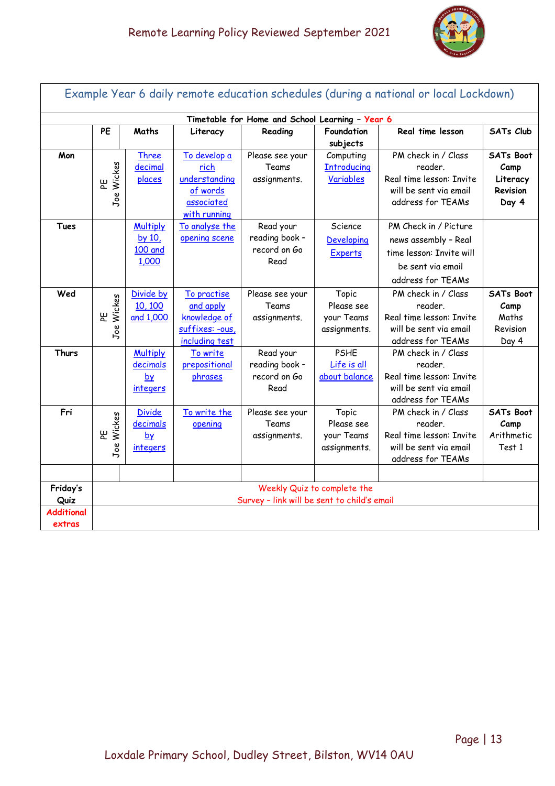

| Example Year 6 daily remote education schedules (during a national or local Lockdown) |                                                                            |                                                            |                                                                                 |                                                     |                                                   |                                                                                                                     |                                                                  |
|---------------------------------------------------------------------------------------|----------------------------------------------------------------------------|------------------------------------------------------------|---------------------------------------------------------------------------------|-----------------------------------------------------|---------------------------------------------------|---------------------------------------------------------------------------------------------------------------------|------------------------------------------------------------------|
|                                                                                       | Timetable for Home and School Learning - Year 6                            |                                                            |                                                                                 |                                                     |                                                   |                                                                                                                     |                                                                  |
|                                                                                       | PE                                                                         | Maths                                                      | Literacy                                                                        | Reading                                             | Foundation<br>subjects                            | Real time lesson                                                                                                    | <b>SATs Club</b>                                                 |
| Mon                                                                                   | Wickes<br>٣<br>Joe                                                         | <b>Three</b><br>decimal<br>places                          | To develop a<br>rich<br>understanding<br>of words<br>associated<br>with running | Please see your<br>Teams<br>assignments.            | Computing<br><b>Introducing</b><br>Variables      | PM check in / Class<br>reader.<br>Real time lesson: Invite<br>will be sent via email<br>address for TEAMs           | <b>SATs Boot</b><br>Camp<br>Literacy<br><b>Revision</b><br>Day 4 |
| <b>Tues</b>                                                                           |                                                                            | <b>Multiply</b><br>by 10,<br><b>100 and</b><br>1,000       | To analyse the<br>opening scene                                                 | Read your<br>reading book -<br>record on Go<br>Read | Science<br>Developing<br>Experts                  | PM Check in / Picture<br>news assembly - Real<br>time lesson: Invite will<br>be sent via email<br>address for TEAMs |                                                                  |
| Wed                                                                                   | Wickes<br>뿐<br>Joe                                                         | Divide by<br>10, 100<br>and 1,000                          | To practise<br>and apply<br>knowledge of<br>suffixes: -ous,<br>including test   | Please see your<br>Teams<br>assignments.            | Topic<br>Please see<br>your Teams<br>assignments. | PM check in / Class<br>reader<br>Real time lesson: Invite<br>will be sent via email<br>address for TEAMs            | SATs Boot<br>Camp<br>Maths<br>Revision<br>Day 4                  |
| Thurs                                                                                 |                                                                            | <b>Multiply</b><br>decimals<br>$b\chi$<br><i>integers</i>  | To write<br>prepositional<br>phrases                                            | Read your<br>reading book -<br>record on Go<br>Read | <b>PSHE</b><br>Life is all<br>about balance       | PM check in / Class<br>reader.<br>Real time lesson: Invite<br>will be sent via email<br>address for TEAMs           |                                                                  |
| Fri                                                                                   | Wickes<br>出<br>Joe                                                         | <b>Divide</b><br>decimals<br>b <b>y</b><br><i>integers</i> | To write the<br>opening                                                         | Please see your<br>Teams<br>assignments.            | Topic<br>Please see<br>your Teams<br>assignments. | PM check in / Class<br>reader.<br>Real time lesson: Invite<br>will be sent via email<br>address for TEAMs           | <b>SATs Boot</b><br>Camp<br>Arithmetic<br>Test 1                 |
| Friday's<br>Quiz<br><b>Additional</b><br>extras                                       | Weekly Quiz to complete the<br>Survey - link will be sent to child's email |                                                            |                                                                                 |                                                     |                                                   |                                                                                                                     |                                                                  |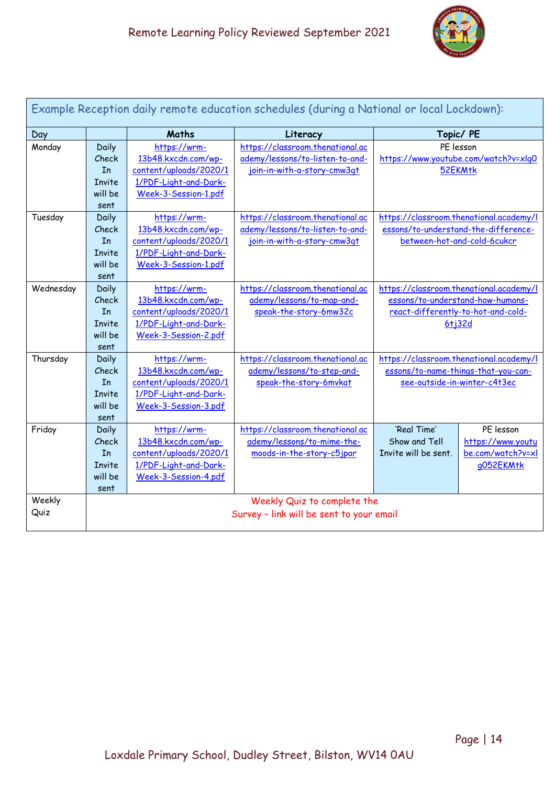

| Example Reception daily remote education schedules (during a National or local Lockdown): |                                          |                                               |                                  |                                         |                                         |  |
|-------------------------------------------------------------------------------------------|------------------------------------------|-----------------------------------------------|----------------------------------|-----------------------------------------|-----------------------------------------|--|
| Day                                                                                       |                                          | <b>Maths</b><br>Topic/ PE<br>Literacy         |                                  |                                         |                                         |  |
| Monday                                                                                    | Daily                                    | https://wrm-                                  | https://classroom.thenational.ac | PE lesson                               |                                         |  |
|                                                                                           | Check                                    | 13b48.kxcdn.com/wp-                           | ademy/lessons/to-listen-to-and-  | https://www.youtube.com/watch?v=xlq0    |                                         |  |
|                                                                                           | In                                       | content/uploads/2020/1                        | join-in-with-a-story-cmw3qt      | 52EKMtk                                 |                                         |  |
|                                                                                           | <b>Invite</b>                            | 1/PDF-Light-and-Dark-                         |                                  |                                         |                                         |  |
|                                                                                           | will be                                  | Week-3-Session-1.pdf                          |                                  |                                         |                                         |  |
|                                                                                           | sent                                     |                                               |                                  |                                         |                                         |  |
| Tuesday                                                                                   | Daily                                    | https://wrm-                                  | https://classroom.thenational.ac |                                         | https://classroom.thenational.academy/l |  |
|                                                                                           | Check                                    | 13b48.kxcdn.com/wp-                           | ademy/lessons/to-listen-to-and-  |                                         | essons/to-understand-the-difference-    |  |
|                                                                                           | In                                       | content/uploads/2020/1                        | join-in-with-a-story-cmw3qt      |                                         | between-hot-and-cold-6cukcr             |  |
|                                                                                           | Invite                                   | 1/PDF-Light-and-Dark-                         |                                  |                                         |                                         |  |
|                                                                                           | will be                                  | Week-3-Session-1.pdf                          |                                  |                                         |                                         |  |
|                                                                                           | sent                                     |                                               |                                  |                                         |                                         |  |
| Wednesday                                                                                 | Daily                                    | https://wrm-                                  | https://classroom.thenational.ac | https://classroom.thenational.academy/l |                                         |  |
|                                                                                           | Check                                    | 13b48.kxcdn.com/wp-                           | ademy/lessons/to-map-and-        | essons/to-understand-how-humans-        |                                         |  |
|                                                                                           | In                                       | content/uploads/2020/1                        | speak-the-story-6mw32c           |                                         | react-differently-to-hot-and-cold-      |  |
|                                                                                           | Invite                                   | 1/PDF-Light-and-Dark-                         |                                  |                                         | 6 <sub>1</sub> 32d                      |  |
|                                                                                           | will be                                  | Week-3-Session-2.pdf                          |                                  |                                         |                                         |  |
|                                                                                           | sent                                     |                                               |                                  |                                         |                                         |  |
| Thursday                                                                                  | Daily                                    | https://wrm-                                  | https://classroom.thenational.ac | https://classroom.thenational.academy/l |                                         |  |
|                                                                                           | Check                                    | 13b48.kxcdn.com/wp-                           | ademy/lessons/to-step-and-       |                                         | essons/to-name-things-that-you-can-     |  |
|                                                                                           | In                                       | content/uploads/2020/1                        | speak-the-story-6mvkat           | see-outside-in-winter-c4t3ec            |                                         |  |
|                                                                                           | Invite<br>will be                        | 1/PDF-Light-and-Dark-<br>Week-3-Session-3.pdf |                                  |                                         |                                         |  |
|                                                                                           | sent                                     |                                               |                                  |                                         |                                         |  |
| Friday                                                                                    | Daily                                    | https://wrm-                                  | https://classroom.thenational.ac | 'Real Time'                             | PE lesson                               |  |
|                                                                                           | Check                                    | 13b48.kxcdn.com/wp-                           | ademy/lessons/to-mime-the-       | Show and Tell                           | https://www.youtu                       |  |
|                                                                                           | In                                       | content/uploads/2020/1                        | moods-in-the-story-c5jpar        | Invite will be sent.                    | be.com/watch?v=xl                       |  |
|                                                                                           | <b>Invite</b>                            | 1/PDF-Light-and-Dark-                         |                                  |                                         | g052EKMtk                               |  |
|                                                                                           | will be                                  | Week-3-Session-4.pdf                          |                                  |                                         |                                         |  |
|                                                                                           | sent                                     |                                               |                                  |                                         |                                         |  |
| Weekly                                                                                    |                                          |                                               | Weekly Quiz to complete the      |                                         |                                         |  |
| Quiz                                                                                      | Survey - link will be sent to your email |                                               |                                  |                                         |                                         |  |
|                                                                                           |                                          |                                               |                                  |                                         |                                         |  |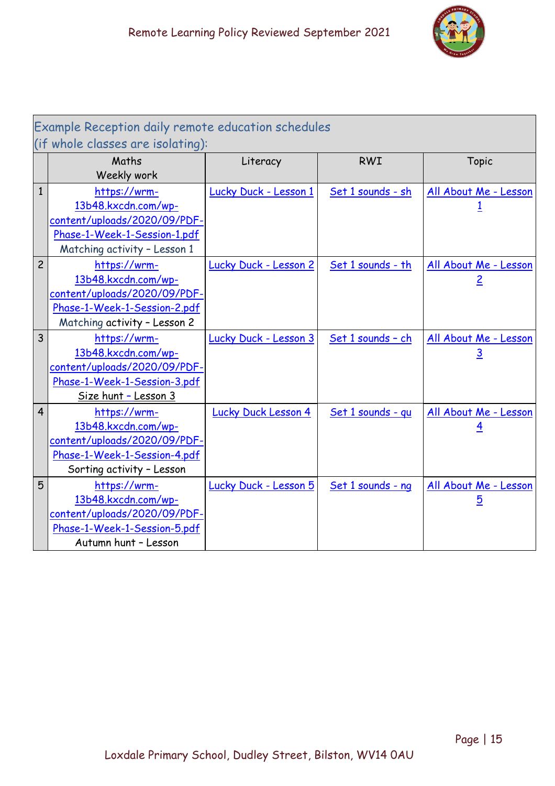

| Example Reception daily remote education schedules<br>(if whole classes are isolating): |                                                                                                                                     |                            |                   |                                         |  |  |
|-----------------------------------------------------------------------------------------|-------------------------------------------------------------------------------------------------------------------------------------|----------------------------|-------------------|-----------------------------------------|--|--|
|                                                                                         | Maths<br>Weekly work                                                                                                                | Literacy                   | <b>RWI</b>        | Topic                                   |  |  |
| $\overline{1}$                                                                          | https://wrm-<br>13b48.kxcdn.com/wp-<br>content/uploads/2020/09/PDF-<br>Phase-1-Week-1-Session-1.pdf<br>Matching activity - Lesson 1 | Lucky Duck - Lesson 1      | Set 1 sounds - sh | All About Me - Lesson                   |  |  |
| $\overline{c}$                                                                          | https://wrm-<br>13b48.kxcdn.com/wp-<br>content/uploads/2020/09/PDF-<br>Phase-1-Week-1-Session-2.pdf<br>Matching activity - Lesson 2 | Lucky Duck - Lesson 2      | Set 1 sounds - th | All About Me - Lesson<br>$\overline{2}$ |  |  |
| $\overline{3}$                                                                          | https://wrm-<br>13b48.kxcdn.com/wp-<br>content/uploads/2020/09/PDF-<br>Phase-1-Week-1-Session-3.pdf<br>Size hunt - Lesson 3         | Lucky Duck - Lesson 3      | Set 1 sounds - ch | All About Me - Lesson<br><u>3</u>       |  |  |
| $\overline{4}$                                                                          | https://wrm-<br>13b48.kxcdn.com/wp-<br>content/uploads/2020/09/PDF-<br>Phase-1-Week-1-Session-4.pdf<br>Sorting activity - Lesson    | <b>Lucky Duck Lesson 4</b> | Set 1 sounds - qu | All About Me - Lesson<br>4              |  |  |
| 5                                                                                       | https://wrm-<br>13b48.kxcdn.com/wp-<br>content/uploads/2020/09/PDF-<br>Phase-1-Week-1-Session-5.pdf<br>Autumn hunt - Lesson         | Lucky Duck - Lesson 5      | Set 1 sounds - ng | All About Me - Lesson<br>5              |  |  |